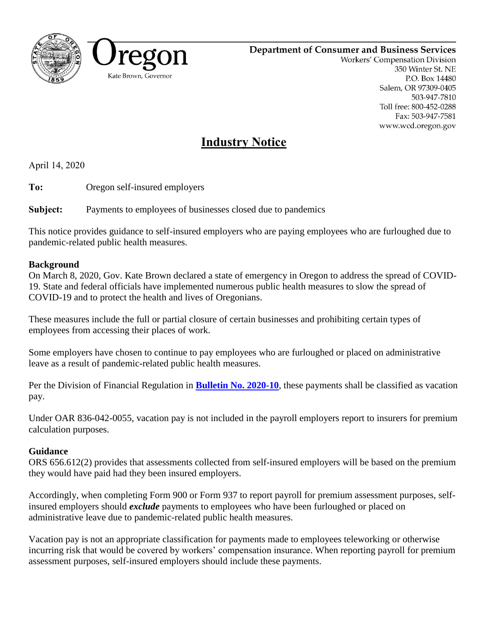

## **Department of Consumer and Business Services**

Workers' Compensation Division 350 Winter St. NE P.O. Box 14480 Salem, OR 97309-0405 503-947-7810 Toll free: 800-452-0288 Fax: 503-947-7581 www.wcd.oregon.gov

## **Industry Notice**

April 14, 2020

**To:** Oregon self-insured employers

**Subject:** Payments to employees of businesses closed due to pandemics

This notice provides guidance to self-insured employers who are paying employees who are furloughed due to pandemic-related public health measures.

## **Background**

On March 8, 2020, Gov. Kate Brown declared a state of emergency in Oregon to address the spread of COVID-19. State and federal officials have implemented numerous public health measures to slow the spread of COVID-19 and to protect the health and lives of Oregonians.

These measures include the full or partial closure of certain businesses and prohibiting certain types of employees from accessing their places of work.

Some employers have chosen to continue to pay employees who are furloughed or placed on administrative leave as a result of pandemic-related public health measures.

Per the Division of Financial Regulation in **[Bulletin No. 2020-10](https://dfr.oregon.gov/laws-rules/Documents/Bulletins/bulletin2020-10.pdf)**, these payments shall be classified as vacation pay.

Under OAR 836-042-0055, vacation pay is not included in the payroll employers report to insurers for premium calculation purposes.

## **Guidance**

ORS 656.612(2) provides that assessments collected from self-insured employers will be based on the premium they would have paid had they been insured employers.

Accordingly, when completing Form 900 or Form 937 to report payroll for premium assessment purposes, selfinsured employers should *exclude* payments to employees who have been furloughed or placed on administrative leave due to pandemic-related public health measures.

Vacation pay is not an appropriate classification for payments made to employees teleworking or otherwise incurring risk that would be covered by workers' compensation insurance. When reporting payroll for premium assessment purposes, self-insured employers should include these payments.